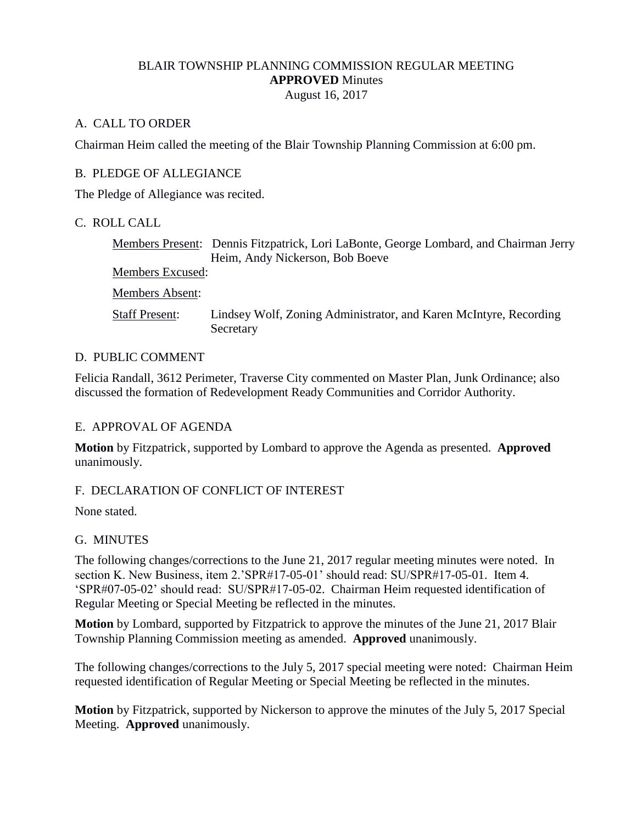### BLAIR TOWNSHIP PLANNING COMMISSION REGULAR MEETING **APPROVED** Minutes August 16, 2017

## A. CALL TO ORDER

Chairman Heim called the meeting of the Blair Township Planning Commission at 6:00 pm.

## B. PLEDGE OF ALLEGIANCE

The Pledge of Allegiance was recited.

## C. ROLL CALL

Members Present: Dennis Fitzpatrick, Lori LaBonte, George Lombard, and Chairman Jerry Heim, Andy Nickerson, Bob Boeve Members Excused: Members Absent: Staff Present: Lindsey Wolf, Zoning Administrator, and Karen McIntyre, Recording Secretary

## D. PUBLIC COMMENT

Felicia Randall, 3612 Perimeter, Traverse City commented on Master Plan, Junk Ordinance; also discussed the formation of Redevelopment Ready Communities and Corridor Authority.

### E. APPROVAL OF AGENDA

**Motion** by Fitzpatrick, supported by Lombard to approve the Agenda as presented. **Approved** unanimously.

# F. DECLARATION OF CONFLICT OF INTEREST

None stated.

# G. MINUTES

The following changes/corrections to the June 21, 2017 regular meeting minutes were noted. In section K. New Business, item 2.'SPR#17-05-01' should read: SU/SPR#17-05-01. Item 4. 'SPR#07-05-02' should read: SU/SPR#17-05-02. Chairman Heim requested identification of Regular Meeting or Special Meeting be reflected in the minutes.

**Motion** by Lombard, supported by Fitzpatrick to approve the minutes of the June 21, 2017 Blair Township Planning Commission meeting as amended. **Approved** unanimously.

The following changes/corrections to the July 5, 2017 special meeting were noted: Chairman Heim requested identification of Regular Meeting or Special Meeting be reflected in the minutes.

**Motion** by Fitzpatrick, supported by Nickerson to approve the minutes of the July 5, 2017 Special Meeting. **Approved** unanimously.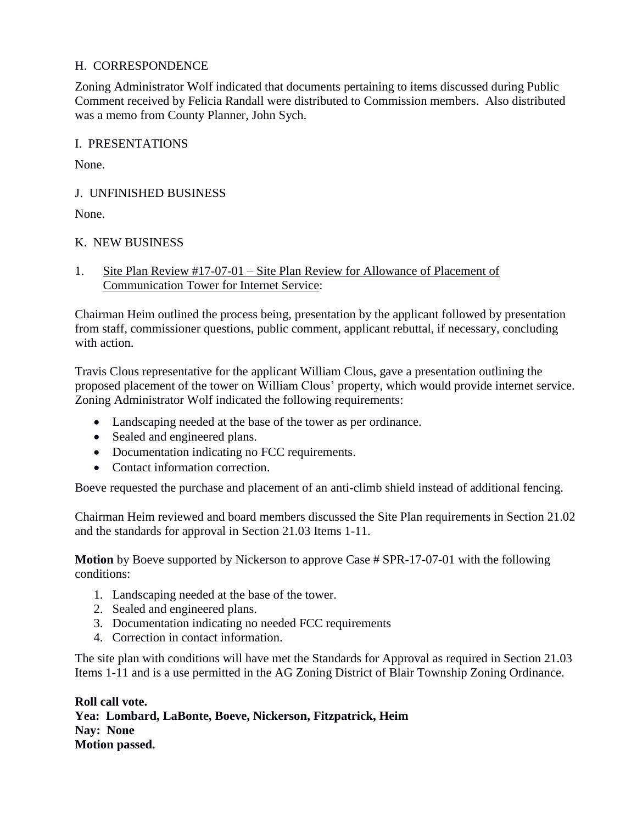# H. CORRESPONDENCE

Zoning Administrator Wolf indicated that documents pertaining to items discussed during Public Comment received by Felicia Randall were distributed to Commission members. Also distributed was a memo from County Planner, John Sych.

### I. PRESENTATIONS

None.

## J. UNFINISHED BUSINESS

None.

## K. NEW BUSINESS

1. Site Plan Review #17-07-01 – Site Plan Review for Allowance of Placement of Communication Tower for Internet Service:

Chairman Heim outlined the process being, presentation by the applicant followed by presentation from staff, commissioner questions, public comment, applicant rebuttal, if necessary, concluding with action.

Travis Clous representative for the applicant William Clous, gave a presentation outlining the proposed placement of the tower on William Clous' property, which would provide internet service. Zoning Administrator Wolf indicated the following requirements:

- Landscaping needed at the base of the tower as per ordinance.
- Sealed and engineered plans.
- Documentation indicating no FCC requirements.
- Contact information correction.

Boeve requested the purchase and placement of an anti-climb shield instead of additional fencing.

Chairman Heim reviewed and board members discussed the Site Plan requirements in Section 21.02 and the standards for approval in Section 21.03 Items 1-11.

**Motion** by Boeve supported by Nickerson to approve Case # SPR-17-07-01 with the following conditions:

- 1. Landscaping needed at the base of the tower.
- 2. Sealed and engineered plans.
- 3. Documentation indicating no needed FCC requirements
- 4. Correction in contact information.

The site plan with conditions will have met the Standards for Approval as required in Section 21.03 Items 1-11 and is a use permitted in the AG Zoning District of Blair Township Zoning Ordinance.

**Roll call vote. Yea: Lombard, LaBonte, Boeve, Nickerson, Fitzpatrick, Heim Nay: None Motion passed.**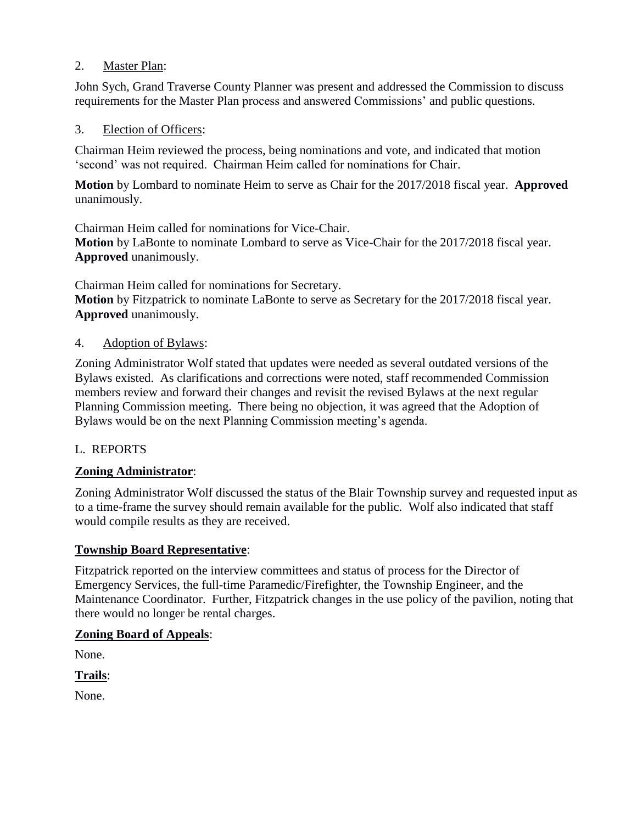## 2. Master Plan:

John Sych, Grand Traverse County Planner was present and addressed the Commission to discuss requirements for the Master Plan process and answered Commissions' and public questions.

### 3. Election of Officers:

Chairman Heim reviewed the process, being nominations and vote, and indicated that motion 'second' was not required. Chairman Heim called for nominations for Chair.

**Motion** by Lombard to nominate Heim to serve as Chair for the 2017/2018 fiscal year. **Approved** unanimously.

Chairman Heim called for nominations for Vice-Chair. **Motion** by LaBonte to nominate Lombard to serve as Vice-Chair for the 2017/2018 fiscal year. **Approved** unanimously.

Chairman Heim called for nominations for Secretary. **Motion** by Fitzpatrick to nominate LaBonte to serve as Secretary for the 2017/2018 fiscal year. **Approved** unanimously.

## 4. Adoption of Bylaws:

Zoning Administrator Wolf stated that updates were needed as several outdated versions of the Bylaws existed. As clarifications and corrections were noted, staff recommended Commission members review and forward their changes and revisit the revised Bylaws at the next regular Planning Commission meeting. There being no objection, it was agreed that the Adoption of Bylaws would be on the next Planning Commission meeting's agenda.

# L. REPORTS

# **Zoning Administrator**:

Zoning Administrator Wolf discussed the status of the Blair Township survey and requested input as to a time-frame the survey should remain available for the public. Wolf also indicated that staff would compile results as they are received.

### **Township Board Representative**:

Fitzpatrick reported on the interview committees and status of process for the Director of Emergency Services, the full-time Paramedic/Firefighter, the Township Engineer, and the Maintenance Coordinator. Further, Fitzpatrick changes in the use policy of the pavilion, noting that there would no longer be rental charges.

### **Zoning Board of Appeals**:

None.

**Trails**:

None.